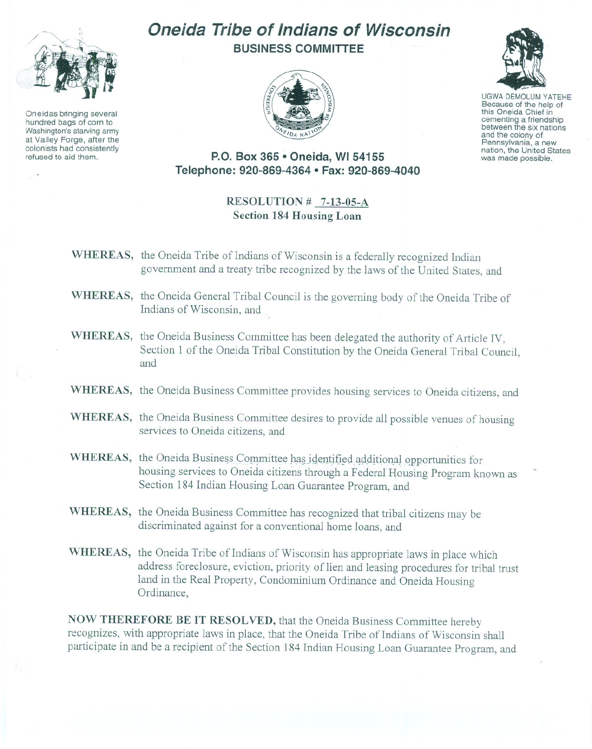

Oneidas bringing several hundred bags of corn to Washington's starving army at Valley Forge, after the refused to aid them.

## **Oneida Tribe of Indians of Wisconsin BUSINESS COMMITTEE**



UGWA DEMOLUM YATEHE this Oneida Chief in<br>cementing a friendship between the six nations and the colony of<br>Pennsylvania, a new nation, the United States was made possible.

**P.O. Box 365 • Oneida, WI 54155 Telephone: 920-869-4364 • Fax: 920-869-4040**

## **RESOLUTION # 7-13-05-A Section 184 Housing Loan**

- **WHEREAS,** the Oneida Tribe of Indians of Wisconsin is a federally recognized Indian government and a treaty tribe recognized by the laws of the United States, and
- **WHEREAS,** the Oneida General Tribal Council is the governing body of the Oneida Tribe of Indians of Wisconsin, and ..
- **WHEREAS,** the Oneida Business Committee has been delegated the authority of Article IV, Section 1 of the Oneida Tribal Constitution by the Oneida General Tribal Council, and
- **WHEREAS,** the Oneida Business Committee provides housing services to Oneida citizens, and
- **WHEREAS,** the Oneida Business Committee desires to provide all possible venues of housing services to Oneida citizens, and
- WHEREAS, the Oneida Business Committee has identified additional opportunities for housing services to Oneida citizens through a Federal Housing Program known as Section 184 Indian Housing Loan Guarantee Program, and
- **WHEREAS,** the Oneida Business Committee has recognized that tribal citizens may be discriminated against for a conventional home loans, and
- **WHEREAS,** the Oneida Tribe of Indians of Wisconsin has appropriate laws in place which address foreclosure, eviction, priority of lien and leasing procedures for tribal trust land in the Real Property, Condominium Ordinance and Oneida Housing Ordinance,

**NOW THEREFORE BE IT RESOLVED,** that the Oneida Business Committee hereby recognizes, with appropriate laws in place, that the Oneida Tribe of Indians of Wisconsin shall participate in and be a recipient of the Section 184 Indian Housing Loan Guarantee Program, and